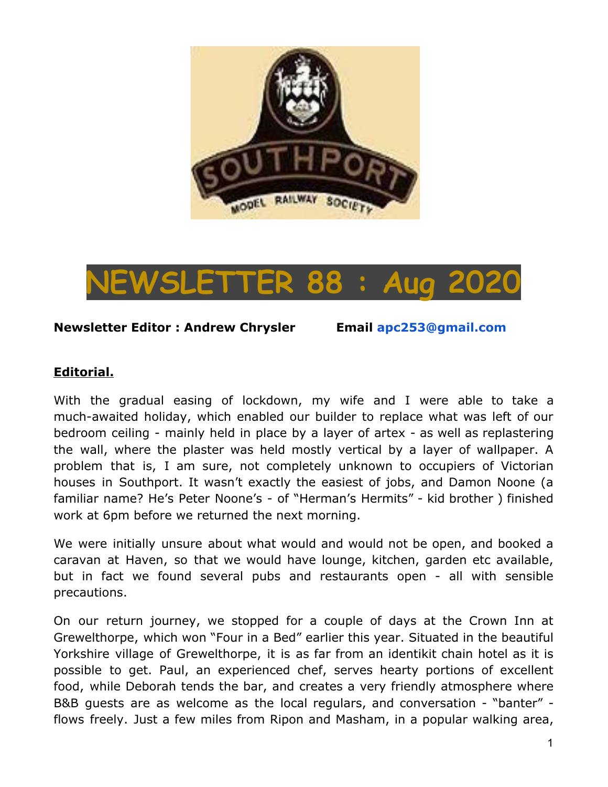



#### **Newsletter Editor : Andrew Chrysler Email apc253@gmail.com**

#### **Editorial.**

With the gradual easing of lockdown, my wife and I were able to take a much-awaited holiday, which enabled our builder to replace what was left of our bedroom ceiling - mainly held in place by a layer of artex - as well as replastering the wall, where the plaster was held mostly vertical by a layer of wallpaper. A problem that is, I am sure, not completely unknown to occupiers of Victorian houses in Southport. It wasn't exactly the easiest of jobs, and Damon Noone (a familiar name? He's Peter Noone's - of "Herman's Hermits" - kid brother ) finished work at 6pm before we returned the next morning.

We were initially unsure about what would and would not be open, and booked a caravan at Haven, so that we would have lounge, kitchen, garden etc available, but in fact we found several pubs and restaurants open - all with sensible precautions.

On our return journey, we stopped for a couple of days at the Crown Inn at Grewelthorpe, which won "Four in a Bed" earlier this year. Situated in the beautiful Yorkshire village of Grewelthorpe, it is as far from an identikit chain hotel as it is possible to get. Paul, an experienced chef, serves hearty portions of excellent food, while Deborah tends the bar, and creates a very friendly atmosphere where B&B guests are as welcome as the local regulars, and conversation - "banter" flows freely. Just a few miles from Ripon and Masham, in a popular walking area,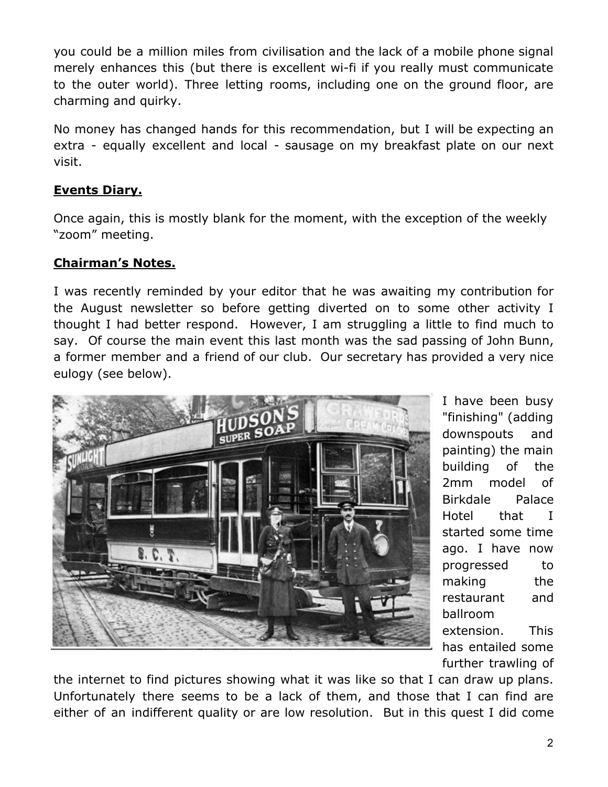you could be a million miles from civilisation and the lack of a mobile phone signal merely enhances this (but there is excellent wi-fi if you really must communicate to the outer world). Three letting rooms, including one on the ground floor, are charming and quirky.

No money has changed hands for this recommendation, but I will be expecting an extra - equally excellent and local - sausage on my breakfast plate on our next visit.

# **Events Diary.**

Once again, this is mostly blank for the moment, with the exception of the weekly "zoom" meeting.

# **Chairman's Notes.**

I was recently reminded by your editor that he was awaiting my contribution for the August newsletter so before getting diverted on to some other activity I thought I had better respond. However, I am struggling a little to find much to say. Of course the main event this last month was the sad passing of John Bunn, a former member and a friend of our club. Our secretary has provided a very nice eulogy (see below).



I have been busy "finishing" (adding downspouts and painting) the main building of the 2mm model of Birkdale Palace Hotel that I started some time ago. I have now progressed to making the restaurant and ballroom extension. This has entailed some further trawling of

the internet to find pictures showing what it was like so that I can draw up plans. Unfortunately there seems to be a lack of them, and those that I can find are either of an indifferent quality or are low resolution. But in this quest I did come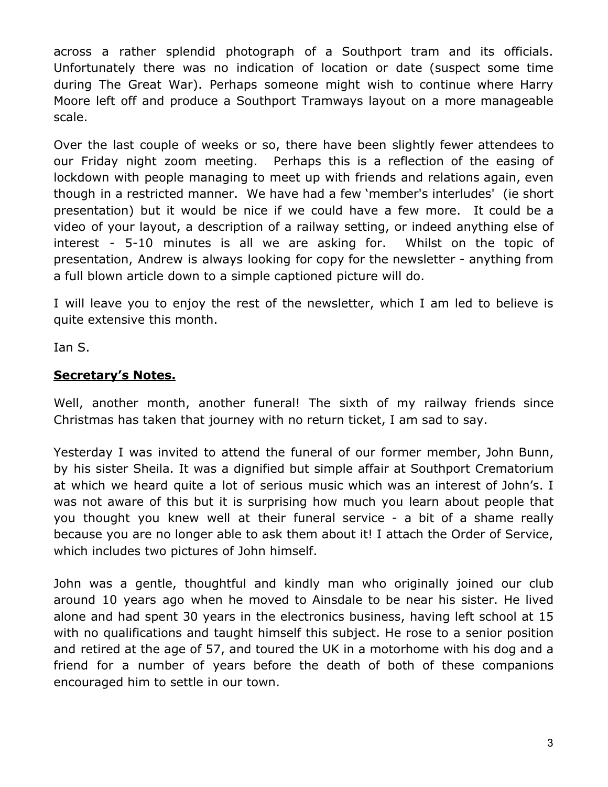across a rather splendid photograph of a Southport tram and its officials. Unfortunately there was no indication of location or date (suspect some time during The Great War). Perhaps someone might wish to continue where Harry Moore left off and produce a Southport Tramways layout on a more manageable scale.

Over the last couple of weeks or so, there have been slightly fewer attendees to our Friday night zoom meeting. Perhaps this is a reflection of the easing of lockdown with people managing to meet up with friends and relations again, even though in a restricted manner. We have had a few 'member's interludes' (ie short presentation) but it would be nice if we could have a few more. It could be a video of your layout, a description of a railway setting, or indeed anything else of interest - 5-10 minutes is all we are asking for. Whilst on the topic of presentation, Andrew is always looking for copy for the newsletter - anything from a full blown article down to a simple captioned picture will do.

I will leave you to enjoy the rest of the newsletter, which I am led to believe is quite extensive this month.

Ian S.

## **Secretary's Notes.**

Well, another month, another funeral! The sixth of my railway friends since Christmas has taken that journey with no return ticket, I am sad to say.

Yesterday I was invited to attend the funeral of our former member, John Bunn, by his sister Sheila. It was a dignified but simple affair at Southport Crematorium at which we heard quite a lot of serious music which was an interest of John's. I was not aware of this but it is surprising how much you learn about people that you thought you knew well at their funeral service - a bit of a shame really because you are no longer able to ask them about it! I attach the Order of Service, which includes two pictures of John himself.

John was a gentle, thoughtful and kindly man who originally joined our club around 10 years ago when he moved to Ainsdale to be near his sister. He lived alone and had spent 30 years in the electronics business, having left school at 15 with no qualifications and taught himself this subject. He rose to a senior position and retired at the age of 57, and toured the UK in a motorhome with his dog and a friend for a number of years before the death of both of these companions encouraged him to settle in our town.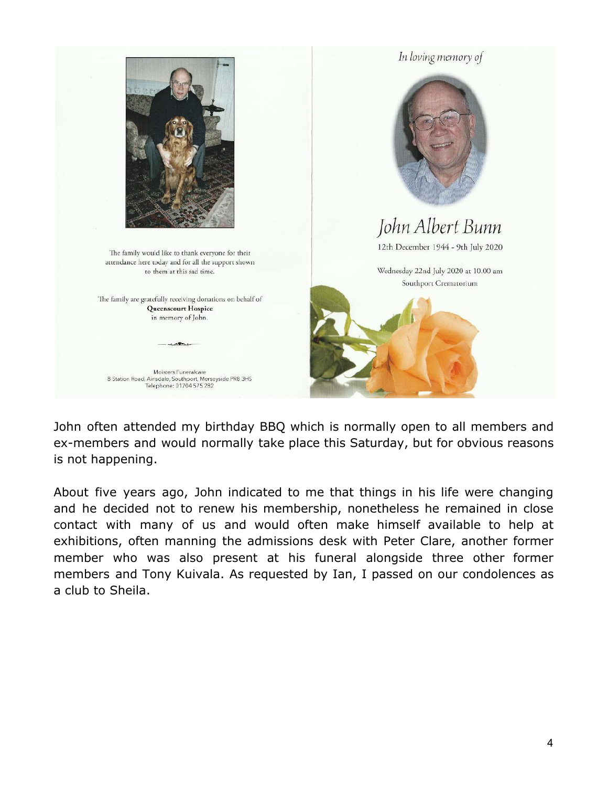

John often attended my birthday BBQ which is normally open to all members and ex-members and would normally take place this Saturday, but for obvious reasons is not happening.

About five years ago, John indicated to me that things in his life were changing and he decided not to renew his membership, nonetheless he remained in close contact with many of us and would often make himself available to help at exhibitions, often manning the admissions desk with Peter Clare, another former member who was also present at his funeral alongside three other former members and Tony Kuivala. As requested by Ian, I passed on our condolences as a club to Sheila.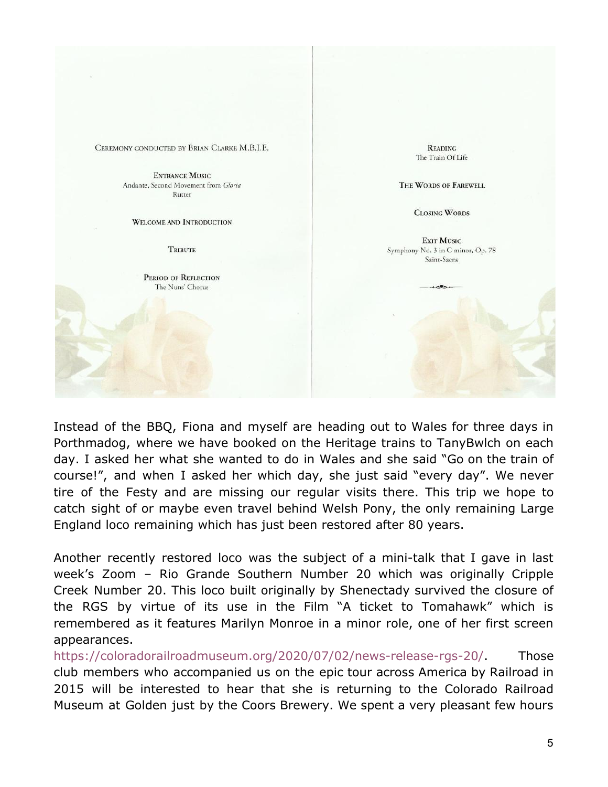CEREMONY CONDUCTED BY BRIAN CLARKE M.B.I.E.

**ENTRANCE MUSIC** Andante, Second Movement from Gloria Rutter

WELCOME AND INTRODUCTION

**TRIBUTE** 

PERIOD OF REFLECTION The Nuns' Chorus

**READING** The Train Of Life

THE WORDS OF FAREWELL

**CLOSING WORDS** 

EXIT MUSIC Symphony No. 3 in C minor, Op. 78 Saint-Saens

Instead of the BBQ, Fiona and myself are heading out to Wales for three days in Porthmadog, where we have booked on the Heritage trains to TanyBwlch on each day. I asked her what she wanted to do in Wales and she said "Go on the train of course!", and when I asked her which day, she just said "every day". We never tire of the Festy and are missing our regular visits there. This trip we hope to catch sight of or maybe even travel behind Welsh Pony, the only remaining Large England loco remaining which has just been restored after 80 years.

Another recently restored loco was the subject of a mini-talk that I gave in last week's Zoom – Rio Grande Southern Number 20 which was originally Cripple Creek Number 20. This loco built originally by Shenectady survived the closure of the RGS by virtue of its use in the Film "A ticket to Tomahawk" which is remembered as it features Marilyn Monroe in a minor role, one of her first screen appearances.

[https://coloradorailroadmuseum.org/2020/07/02/news-release-rgs-20/.](https://coloradorailroadmuseum.org/2020/07/02/news-release-rgs-20/) Those club members who accompanied us on the epic tour across America by Railroad in 2015 will be interested to hear that she is returning to the Colorado Railroad Museum at Golden just by the Coors Brewery. We spent a very pleasant few hours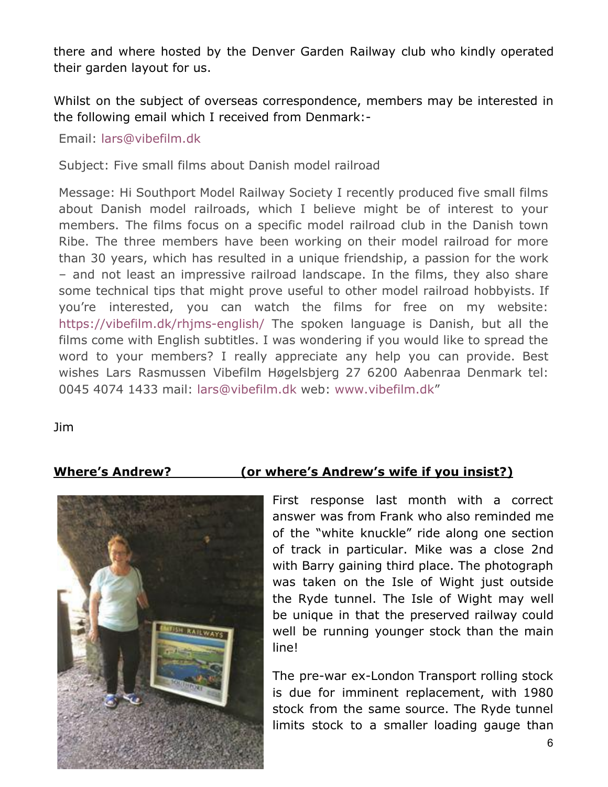there and where hosted by the Denver Garden Railway club who kindly operated their garden layout for us.

Whilst on the subject of overseas correspondence, members may be interested in the following email which I received from Denmark:-

Email: lars@vibefilm.dk

Subject: Five small films about Danish model railroad

Message: Hi Southport Model Railway Society I recently produced five small films about Danish model railroads, which I believe might be of interest to your members. The films focus on a specific model railroad club in the Danish town Ribe. The three members have been working on their model railroad for more than 30 years, which has resulted in a unique friendship, a passion for the work – and not least an impressive railroad landscape. In the films, they also share some technical tips that might prove useful to other model railroad hobbyists. If you're interested, you can watch the films for free on my website: <https://vibefilm.dk/rhjms-english/> The spoken language is Danish, but all the films come with English subtitles. I was wondering if you would like to spread the word to your members? I really appreciate any help you can provide. Best wishes Lars Rasmussen Vibefilm Høgelsbjerg 27 6200 Aabenraa Denmark tel: 0045 4074 1433 mail: lars@vibefilm.dk web: [www.vibefilm.dk](http://www.vibefilm.dk/)"

Jim



# **Where's Andrew? (or where's Andrew's wife if you insist?)**

First response last month with a correct answer was from Frank who also reminded me of the "white knuckle" ride along one section of track in particular. Mike was a close 2nd with Barry gaining third place. The photograph was taken on the Isle of Wight just outside the Ryde tunnel. The Isle of Wight may well be unique in that the preserved railway could well be running younger stock than the main line!

The pre-war ex-London Transport rolling stock is due for imminent replacement, with 1980 stock from the same source. The Ryde tunnel limits stock to a smaller loading gauge than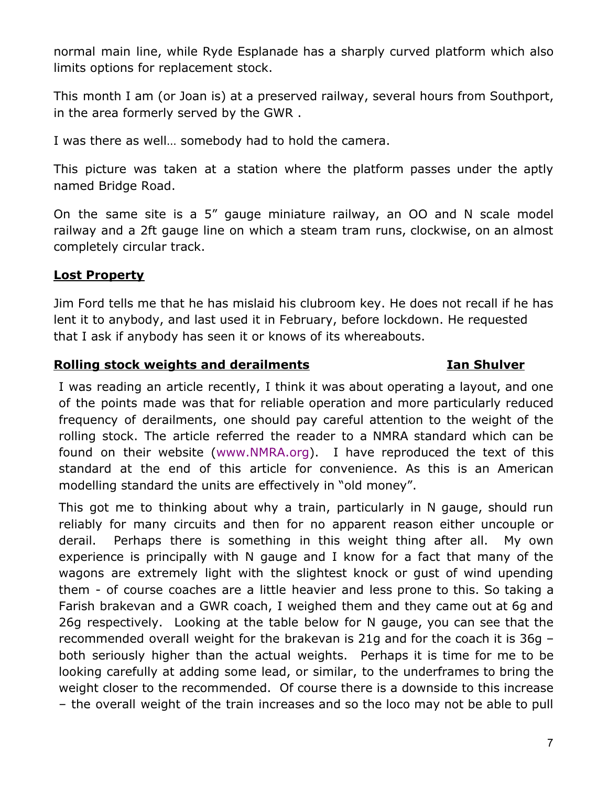normal main line, while Ryde Esplanade has a sharply curved platform which also limits options for replacement stock.

This month I am (or Joan is) at a preserved railway, several hours from Southport, in the area formerly served by the GWR .

I was there as well… somebody had to hold the camera.

This picture was taken at a station where the platform passes under the aptly named Bridge Road.

On the same site is a 5" gauge miniature railway, an OO and N scale model railway and a 2ft gauge line on which a steam tram runs, clockwise, on an almost completely circular track.

### **Lost Property**

Jim Ford tells me that he has mislaid his clubroom key. He does not recall if he has lent it to anybody, and last used it in February, before lockdown. He requested that I ask if anybody has seen it or knows of its whereabouts.

### **Rolling stock weights and derailments Ian Shulver**

I was reading an article recently, I think it was about operating a layout, and one of the points made was that for reliable operation and more particularly reduced frequency of derailments, one should pay careful attention to the weight of the rolling stock. The article referred the reader to a NMRA standard which can be found on their website ([www.NMRA.org](http://www.nmra.org/)). I have reproduced the text of this standard at the end of this article for convenience. As this is an American modelling standard the units are effectively in "old money".

This got me to thinking about why a train, particularly in N gauge, should run reliably for many circuits and then for no apparent reason either uncouple or derail. Perhaps there is something in this weight thing after all. My own experience is principally with N gauge and I know for a fact that many of the wagons are extremely light with the slightest knock or gust of wind upending them - of course coaches are a little heavier and less prone to this. So taking a Farish brakevan and a GWR coach, I weighed them and they came out at 6g and 26g respectively. Looking at the table below for N gauge, you can see that the recommended overall weight for the brakevan is 21g and for the coach it is 36g – both seriously higher than the actual weights. Perhaps it is time for me to be looking carefully at adding some lead, or similar, to the underframes to bring the weight closer to the recommended. Of course there is a downside to this increase – the overall weight of the train increases and so the loco may not be able to pull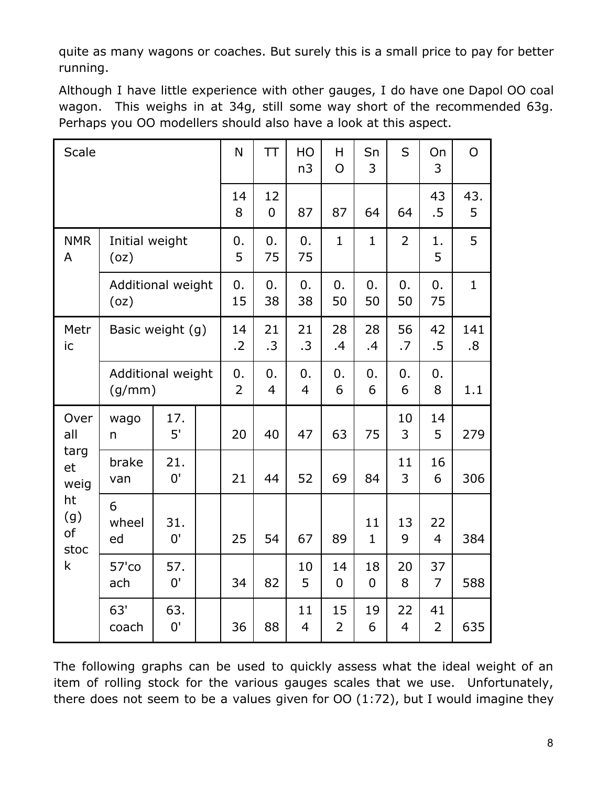quite as many wagons or coaches. But surely this is a small price to pay for better running.

Although I have little experience with other gauges, I do have one Dapol OO coal wagon. This weighs in at 34g, still some way short of the recommended 63g. Perhaps you OO modellers should also have a look at this aspect.

| <b>Scale</b>                                                      |                             |                  | N       | <b>TT</b>            | HO<br>n <sub>3</sub> | H<br>$\overline{O}$  | Sn<br>3              | S                    | On<br>3        | $\overline{O}$       |              |
|-------------------------------------------------------------------|-----------------------------|------------------|---------|----------------------|----------------------|----------------------|----------------------|----------------------|----------------|----------------------|--------------|
|                                                                   |                             |                  | 14<br>8 | 12<br>$\mathbf 0$    | 87                   | 87                   | 64                   | 64                   | 43<br>.5       | 43.<br>5             |              |
| <b>NMR</b><br>A                                                   | Initial weight<br>(oz)      |                  |         | 0.<br>5              | 0.<br>75             | 0.<br>75             | $\mathbf{1}$         | 1                    | $\overline{2}$ | 1.<br>5              | 5            |
|                                                                   | Additional weight<br>(oz)   |                  |         | 0.<br>15             | 0.<br>38             | 0.<br>38             | 0.<br>50             | 0.<br>50             | 0.<br>50       | 0.<br>75             | $\mathbf{1}$ |
| Metr<br>ic                                                        |                             | Basic weight (g) |         | 14<br>.2             | 21<br>.3             | 21<br>.3             | 28<br>.4             | 28<br>.4             | 56<br>.7       | 42<br>.5             | 141<br>.8    |
|                                                                   | Additional weight<br>(g/mm) |                  |         | 0.<br>$\overline{2}$ | 0.<br>$\overline{4}$ | 0.<br>$\overline{4}$ | 0.<br>6              | 0.<br>6              | 0.<br>6        | 0.<br>8              | 1.1          |
| Over<br>all<br>targ<br>et<br>weig<br>ht<br>(g)<br>of<br>stoc<br>k | wago<br>n                   | 17.<br>5'        |         | 20                   | 40                   | 47                   | 63                   | 75                   | 10<br>3        | 14<br>5              | 279          |
|                                                                   | brake<br>van                | 21.<br>0'        |         | 21                   | 44                   | 52                   | 69                   | 84                   | 11<br>3        | 16<br>6              | 306          |
|                                                                   | 6<br>wheel<br>ed            | 31.<br>0'        |         | 25                   | 54                   | 67                   | 89                   | 11<br>$\mathbf{1}$   | 13<br>9        | 22<br>$\overline{4}$ | 384          |
|                                                                   | $57'$ co<br>ach             | 57.<br>0'        |         | 34                   | 82                   | 10<br>5              | 14<br>$\overline{0}$ | 18<br>$\overline{0}$ | 20<br>8        | 37<br>$\overline{7}$ | 588          |
|                                                                   | 63'<br>coach                | 63.<br>0'        |         | 36                   | 88                   | 11<br>$\overline{4}$ | 15<br>2              | 19<br>6              | 22<br>4        | 41<br>$\overline{2}$ | 635          |

The following graphs can be used to quickly assess what the ideal weight of an item of rolling stock for the various gauges scales that we use. Unfortunately, there does not seem to be a values given for OO (1:72), but I would imagine they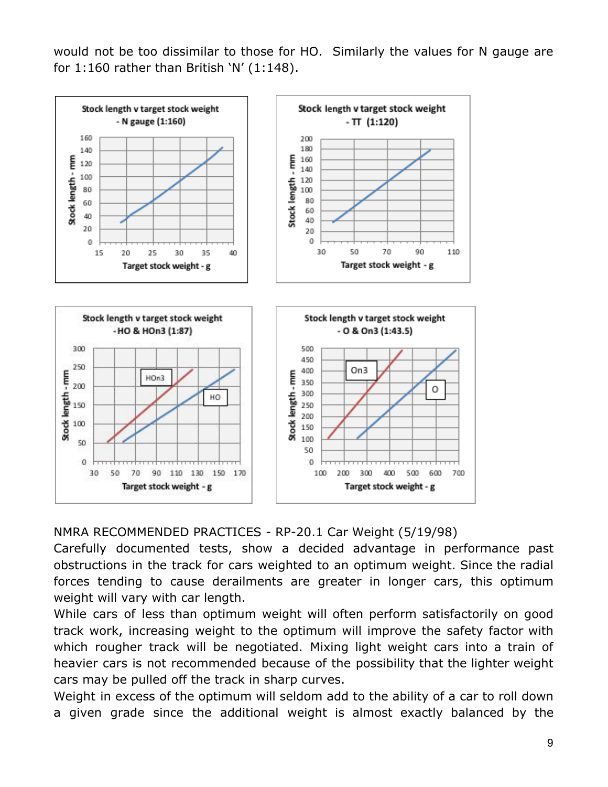would not be too dissimilar to those for HO. Similarly the values for N gauge are for  $1:160$  rather than British 'N'  $(1:148)$ .



NMRA RECOMMENDED PRACTICES - RP-20.1 Car Weight (5/19/98)

Carefully documented tests, show a decided advantage in performance past obstructions in the track for cars weighted to an optimum weight. Since the radial forces tending to cause derailments are greater in longer cars, this optimum weight will vary with car length.

While cars of less than optimum weight will often perform satisfactorily on good track work, increasing weight to the optimum will improve the safety factor with which rougher track will be negotiated. Mixing light weight cars into a train of heavier cars is not recommended because of the possibility that the lighter weight cars may be pulled off the track in sharp curves.

Weight in excess of the optimum will seldom add to the ability of a car to roll down a given grade since the additional weight is almost exactly balanced by the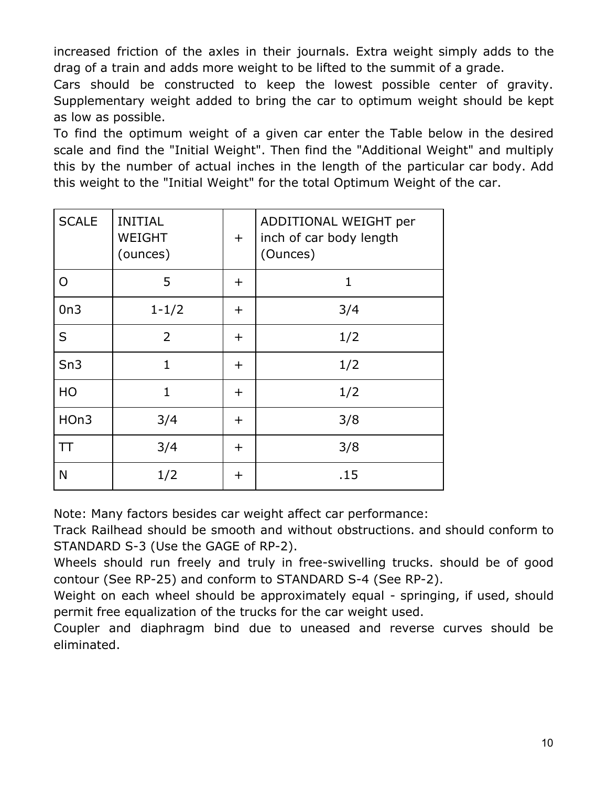increased friction of the axles in their journals. Extra weight simply adds to the drag of a train and adds more weight to be lifted to the summit of a grade.

Cars should be constructed to keep the lowest possible center of gravity. Supplementary weight added to bring the car to optimum weight should be kept as low as possible.

To find the optimum weight of a given car enter the Table below in the desired scale and find the "Initial Weight". Then find the "Additional Weight" and multiply this by the number of actual inches in the length of the particular car body. Add this weight to the "Initial Weight" for the total Optimum Weight of the car.

| <b>SCALE</b> | <b>INITIAL</b><br><b>WEIGHT</b><br>(ounces) | $\pm$       | ADDITIONAL WEIGHT per<br>inch of car body length<br>(Ounces) |
|--------------|---------------------------------------------|-------------|--------------------------------------------------------------|
| O            | 5                                           | $\pm$       | 1                                                            |
| On3          | $1 - 1/2$                                   | $\pm$       | 3/4                                                          |
| S            | $\overline{2}$                              | $\pm$       | 1/2                                                          |
| Sn3          | $\mathbf{1}$                                | $\mathbf +$ | 1/2                                                          |
| HO           | $\mathbf{1}$                                | $\pm$       | 1/2                                                          |
| HOn3         | 3/4                                         | $\pm$       | 3/8                                                          |
| TΤ           | 3/4                                         | $\mathbf +$ | 3/8                                                          |
| N            | 1/2                                         | $\pm$       | .15                                                          |

Note: Many factors besides car weight affect car performance:

Track Railhead should be smooth and without obstructions. and should conform to STANDARD S-3 (Use the GAGE of RP-2).

Wheels should run freely and truly in free-swivelling trucks. should be of good contour (See RP-25) and conform to STANDARD S-4 (See RP-2).

Weight on each wheel should be approximately equal - springing, if used, should permit free equalization of the trucks for the car weight used.

Coupler and diaphragm bind due to uneased and reverse curves should be eliminated.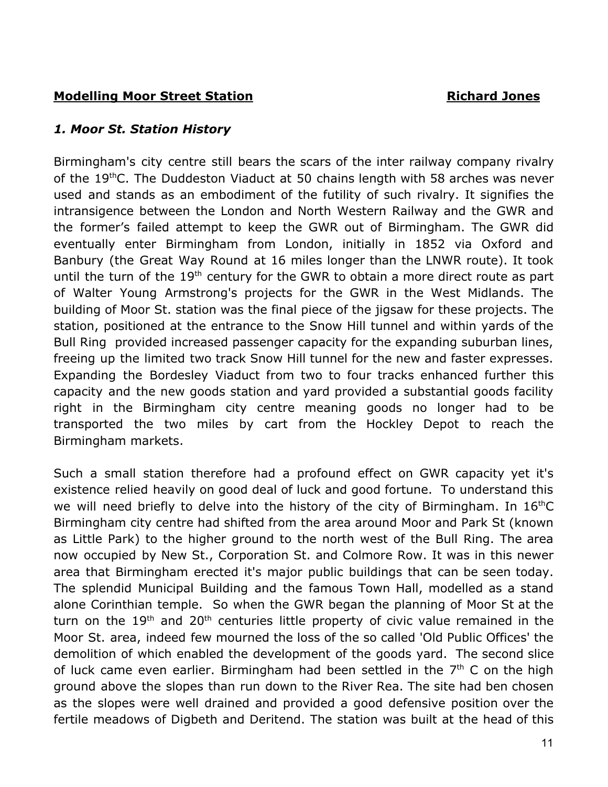## **Modelling Moor Street Station Access 19 Access 19 Access 19 Access 19 Access 19 Access 19 Access 19 Access 19 Access 19 Access 19 Access 19 Access 19 Access 19 Access 19 Access 19 Access 19 Access 19 Access 19 Access 19 A**

### *1. Moor St. Station History*

Birmingham's city centre still bears the scars of the inter railway company rivalry of the 19thC. The Duddeston Viaduct at 50 chains length with 58 arches was never used and stands as an embodiment of the futility of such rivalry. It signifies the intransigence between the London and North Western Railway and the GWR and the former's failed attempt to keep the GWR out of Birmingham. The GWR did eventually enter Birmingham from London, initially in 1852 via Oxford and Banbury (the Great Way Round at 16 miles longer than the LNWR route). It took until the turn of the  $19<sup>th</sup>$  century for the GWR to obtain a more direct route as part of Walter Young Armstrong's projects for the GWR in the West Midlands. The building of Moor St. station was the final piece of the jigsaw for these projects. The station, positioned at the entrance to the Snow Hill tunnel and within yards of the Bull Ring provided increased passenger capacity for the expanding suburban lines, freeing up the limited two track Snow Hill tunnel for the new and faster expresses. Expanding the Bordesley Viaduct from two to four tracks enhanced further this capacity and the new goods station and yard provided a substantial goods facility right in the Birmingham city centre meaning goods no longer had to be transported the two miles by cart from the Hockley Depot to reach the Birmingham markets.

Such a small station therefore had a profound effect on GWR capacity yet it's existence relied heavily on good deal of luck and good fortune. To understand this we will need briefly to delve into the history of the city of Birmingham. In  $16<sup>th</sup>C$ Birmingham city centre had shifted from the area around Moor and Park St (known as Little Park) to the higher ground to the north west of the Bull Ring. The area now occupied by New St., Corporation St. and Colmore Row. It was in this newer area that Birmingham erected it's major public buildings that can be seen today. The splendid Municipal Building and the famous Town Hall, modelled as a stand alone Corinthian temple. So when the GWR began the planning of Moor St at the turn on the 19<sup>th</sup> and 20<sup>th</sup> centuries little property of civic value remained in the Moor St. area, indeed few mourned the loss of the so called 'Old Public Offices' the demolition of which enabled the development of the goods yard. The second slice of luck came even earlier. Birmingham had been settled in the  $7<sup>th</sup>$  C on the high ground above the slopes than run down to the River Rea. The site had ben chosen as the slopes were well drained and provided a good defensive position over the fertile meadows of Digbeth and Deritend. The station was built at the head of this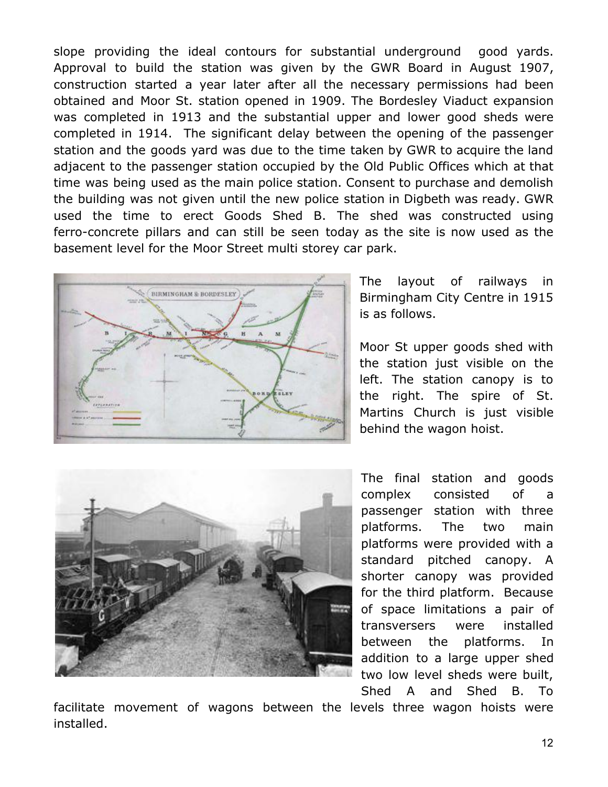slope providing the ideal contours for substantial underground good yards. Approval to build the station was given by the GWR Board in August 1907, construction started a year later after all the necessary permissions had been obtained and Moor St. station opened in 1909. The Bordesley Viaduct expansion was completed in 1913 and the substantial upper and lower good sheds were completed in 1914. The significant delay between the opening of the passenger station and the goods yard was due to the time taken by GWR to acquire the land adjacent to the passenger station occupied by the Old Public Offices which at that time was being used as the main police station. Consent to purchase and demolish the building was not given until the new police station in Digbeth was ready. GWR used the time to erect Goods Shed B. The shed was constructed using ferro-concrete pillars and can still be seen today as the site is now used as the basement level for the Moor Street multi storey car park.



The layout of railways in Birmingham City Centre in 1915 is as follows.

Moor St upper goods shed with the station just visible on the left. The station canopy is to the right. The spire of St. Martins Church is just visible behind the wagon hoist.



The final station and goods complex consisted of a passenger station with three platforms. The two main platforms were provided with a standard pitched canopy. A shorter canopy was provided for the third platform. Because of space limitations a pair of transversers were installed between the platforms. In addition to a large upper shed two low level sheds were built, Shed A and Shed B. To

facilitate movement of wagons between the levels three wagon hoists were installed.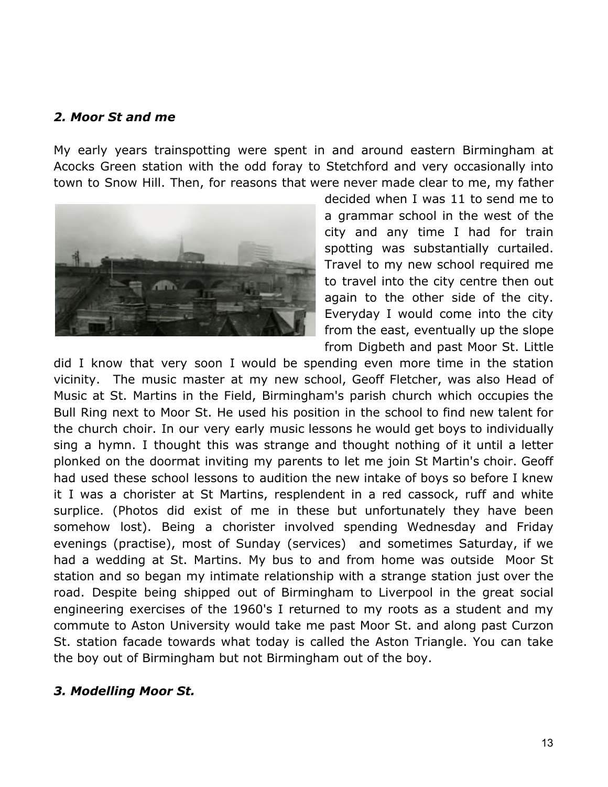#### *2. Moor St and me*

My early years trainspotting were spent in and around eastern Birmingham at Acocks Green station with the odd foray to Stetchford and very occasionally into town to Snow Hill. Then, for reasons that were never made clear to me, my father



decided when I was 11 to send me to a grammar school in the west of the city and any time I had for train spotting was substantially curtailed. Travel to my new school required me to travel into the city centre then out again to the other side of the city. Everyday I would come into the city from the east, eventually up the slope from Digbeth and past Moor St. Little

did I know that very soon I would be spending even more time in the station vicinity. The music master at my new school, Geoff Fletcher, was also Head of Music at St. Martins in the Field, Birmingham's parish church which occupies the Bull Ring next to Moor St. He used his position in the school to find new talent for the church choir. In our very early music lessons he would get boys to individually sing a hymn. I thought this was strange and thought nothing of it until a letter plonked on the doormat inviting my parents to let me join St Martin's choir. Geoff had used these school lessons to audition the new intake of boys so before I knew it I was a chorister at St Martins, resplendent in a red cassock, ruff and white surplice. (Photos did exist of me in these but unfortunately they have been somehow lost). Being a chorister involved spending Wednesday and Friday evenings (practise), most of Sunday (services) and sometimes Saturday, if we had a wedding at St. Martins. My bus to and from home was outside Moor St station and so began my intimate relationship with a strange station just over the road. Despite being shipped out of Birmingham to Liverpool in the great social engineering exercises of the 1960's I returned to my roots as a student and my commute to Aston University would take me past Moor St. and along past Curzon St. station facade towards what today is called the Aston Triangle. You can take the boy out of Birmingham but not Birmingham out of the boy.

#### *3. Modelling Moor St.*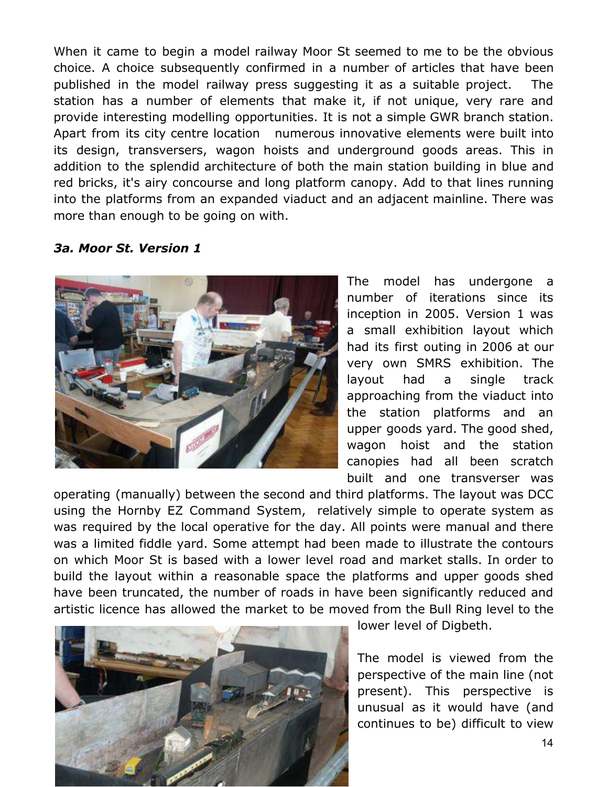When it came to begin a model railway Moor St seemed to me to be the obvious choice. A choice subsequently confirmed in a number of articles that have been published in the model railway press suggesting it as a suitable project. The station has a number of elements that make it, if not unique, very rare and provide interesting modelling opportunities. It is not a simple GWR branch station. Apart from its city centre location numerous innovative elements were built into its design, transversers, wagon hoists and underground goods areas. This in addition to the splendid architecture of both the main station building in blue and red bricks, it's airy concourse and long platform canopy. Add to that lines running into the platforms from an expanded viaduct and an adjacent mainline. There was more than enough to be going on with.

#### *3a. Moor St. Version 1*



The model has undergone a number of iterations since its inception in 2005. Version 1 was a small exhibition layout which had its first outing in 2006 at our very own SMRS exhibition. The layout had a single track approaching from the viaduct into the station platforms and an upper goods yard. The good shed, wagon hoist and the station canopies had all been scratch built and one transverser was

operating (manually) between the second and third platforms. The layout was DCC using the Hornby EZ Command System, relatively simple to operate system as was required by the local operative for the day. All points were manual and there was a limited fiddle yard. Some attempt had been made to illustrate the contours on which Moor St is based with a lower level road and market stalls. In order to build the layout within a reasonable space the platforms and upper goods shed have been truncated, the number of roads in have been significantly reduced and artistic licence has allowed the market to be moved from the Bull Ring level to the



lower level of Digbeth.

The model is viewed from the perspective of the main line (not present). This perspective is unusual as it would have (and continues to be) difficult to view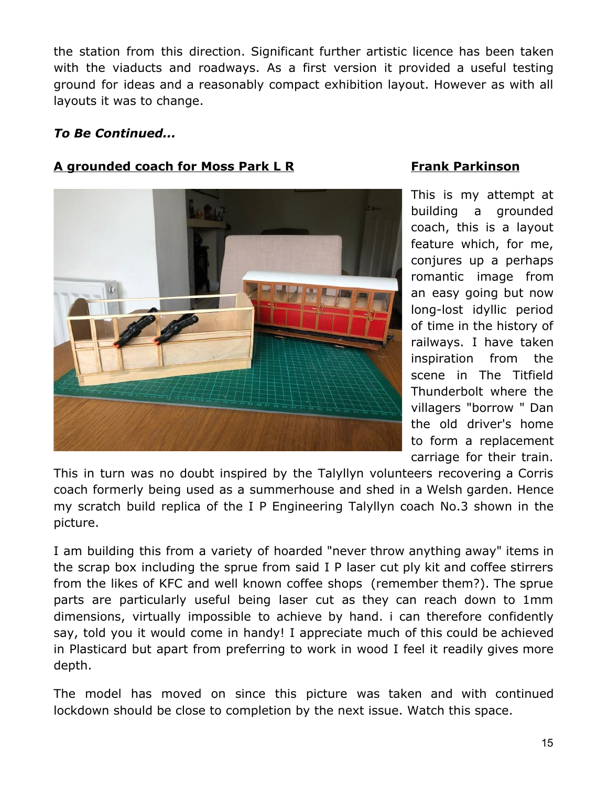the station from this direction. Significant further artistic licence has been taken with the viaducts and roadways. As a first version it provided a useful testing ground for ideas and a reasonably compact exhibition layout. However as with all layouts it was to change.

### *To Be Continued...*

# **A grounded coach for Moss Park L R Frank Parkinson**



This is my attempt at building a grounded coach, this is a layout feature which, for me, conjures up a perhaps romantic image from an easy going but now long-lost idyllic period of time in the history of railways. I have taken inspiration from the scene in The Titfield Thunderbolt where the villagers "borrow " Dan the old driver's home to form a replacement carriage for their train.

This in turn was no doubt inspired by the Talyllyn volunteers recovering a Corris coach formerly being used as a summerhouse and shed in a Welsh garden. Hence my scratch build replica of the I P Engineering Talyllyn coach No.3 shown in the picture.

I am building this from a variety of hoarded "never throw anything away" items in the scrap box including the sprue from said I P laser cut ply kit and coffee stirrers from the likes of KFC and well known coffee shops (remember them?). The sprue parts are particularly useful being laser cut as they can reach down to 1mm dimensions, virtually impossible to achieve by hand. i can therefore confidently say, told you it would come in handy! I appreciate much of this could be achieved in Plasticard but apart from preferring to work in wood I feel it readily gives more depth.

The model has moved on since this picture was taken and with continued lockdown should be close to completion by the next issue. Watch this space.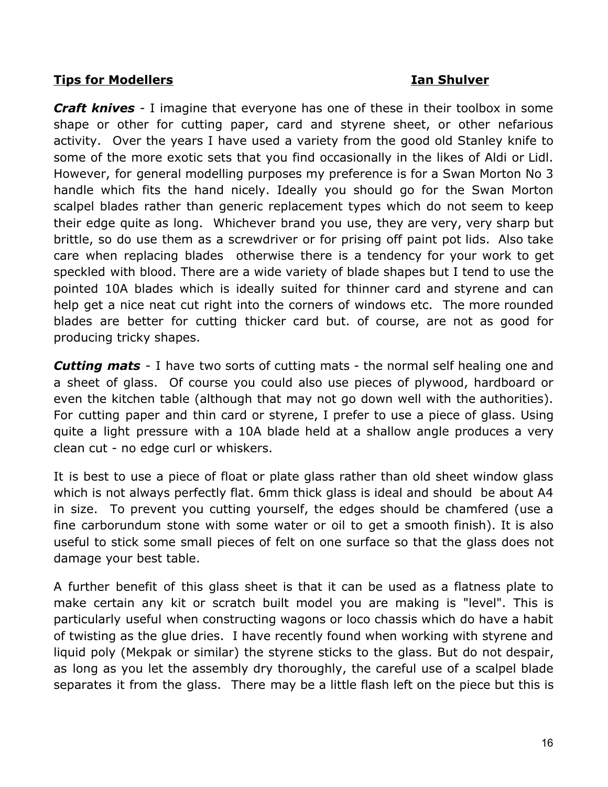### **Tips for Modellers Ian Shulver**

*Craft knives* - I imagine that everyone has one of these in their toolbox in some shape or other for cutting paper, card and styrene sheet, or other nefarious activity. Over the years I have used a variety from the good old Stanley knife to some of the more exotic sets that you find occasionally in the likes of Aldi or Lidl. However, for general modelling purposes my preference is for a Swan Morton No 3 handle which fits the hand nicely. Ideally you should go for the Swan Morton scalpel blades rather than generic replacement types which do not seem to keep their edge quite as long. Whichever brand you use, they are very, very sharp but brittle, so do use them as a screwdriver or for prising off paint pot lids. Also take care when replacing blades otherwise there is a tendency for your work to get speckled with blood. There are a wide variety of blade shapes but I tend to use the pointed 10A blades which is ideally suited for thinner card and styrene and can help get a nice neat cut right into the corners of windows etc. The more rounded blades are better for cutting thicker card but. of course, are not as good for producing tricky shapes.

*Cutting mats* - I have two sorts of cutting mats - the normal self healing one and a sheet of glass. Of course you could also use pieces of plywood, hardboard or even the kitchen table (although that may not go down well with the authorities). For cutting paper and thin card or styrene, I prefer to use a piece of glass. Using quite a light pressure with a 10A blade held at a shallow angle produces a very clean cut - no edge curl or whiskers.

It is best to use a piece of float or plate glass rather than old sheet window glass which is not always perfectly flat. 6mm thick glass is ideal and should be about A4 in size. To prevent you cutting yourself, the edges should be chamfered (use a fine carborundum stone with some water or oil to get a smooth finish). It is also useful to stick some small pieces of felt on one surface so that the glass does not damage your best table.

A further benefit of this glass sheet is that it can be used as a flatness plate to make certain any kit or scratch built model you are making is "level". This is particularly useful when constructing wagons or loco chassis which do have a habit of twisting as the glue dries. I have recently found when working with styrene and liquid poly (Mekpak or similar) the styrene sticks to the glass. But do not despair, as long as you let the assembly dry thoroughly, the careful use of a scalpel blade separates it from the glass. There may be a little flash left on the piece but this is